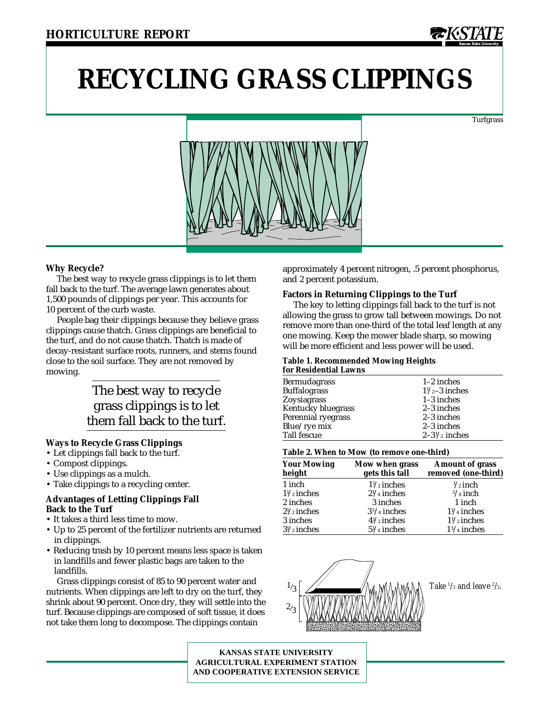# **RECYCLING GRASS CLIPPINGS**

Turfgrass



#### **Why Recycle?**

The best way to recycle grass clippings is to let them fall back to the turf. The average lawn generates about 1,500 pounds of clippings per year. This accounts for 10 percent of the curb waste.

People bag their clippings because they believe grass clippings cause thatch. Grass clippings are beneficial to the turf, and do not cause thatch. Thatch is made of decay-resistant surface roots, runners, and stems found close to the soil surface. They are not removed by mowing.

## The best way to recycle grass clippings is to let them fall back to the turf.

### **Ways to Recycle Grass Clippings**

- Let clippings fall back to the turf.
- Compost clippings.
- Use clippings as a mulch.
- Take clippings to a recycling center.

#### **Advantages of Letting Clippings Fall Back to the Turf**

- It takes a third less time to mow.
- Up to 25 percent of the fertilizer nutrients are returned in clippings.
- Reducing trash by 10 percent means less space is taken in landfills and fewer plastic bags are taken to the landfills.

Grass clippings consist of 85 to 90 percent water and nutrients. When clippings are left to dry on the turf, they shrink about 90 percent. Once dry, they will settle into the turf. Because clippings are composed of soft tissue, it does not take them long to decompose. The clippings contain

approximately 4 percent nitrogen, .5 percent phosphorus, and 2 percent potassium.

#### **Factors in Returning Clippings to the Turf**

The key to letting clippings fall back to the turf is not allowing the grass to grow tall between mowings. Do not remove more than one-third of the total leaf length at any one mowing. Keep the mower blade sharp, so mowing will be more efficient and less power will be used.

#### **Table 1. Recommended Mowing Heights for Residential Lawns**

| тог ілемисннаг байня |                          |
|----------------------|--------------------------|
| <b>Bermudagrass</b>  | $1-2$ inches             |
| <b>Buffalograss</b>  | $1\frac{1}{2}$ -3 inches |
| Zoysiagrass          | $1-3$ inches             |
| Kentucky bluegrass   | $2-3$ inches             |
| Perennial ryegrass   | $2-3$ inches             |
| Blue/rye mix         | $2-3$ inches             |
| Tall fescue          | $2-3\frac{1}{2}$ inches  |
|                      |                          |

#### **Table 2. When to Mow (to remove one-third)**

| <b>Your Mowing</b><br>height | Mow when grass<br>gets this tall | <b>Amount of grass</b><br>removed (one-third) |
|------------------------------|----------------------------------|-----------------------------------------------|
| 1 inch                       | $1\frac{1}{2}$ inches            | $\frac{1}{2}$ inch                            |
| $1\frac{1}{2}$ inches        | $2\frac{1}{4}$ inches            | $\frac{3}{4}$ inch                            |
| 2 inches                     | 3 inches                         | 1 inch                                        |
| $2\frac{1}{2}$ inches        | $33/4$ inches                    | $1\frac{1}{4}$ inches                         |
| 3 inches                     | $4\frac{1}{2}$ inches            | $1\frac{1}{2}$ inches                         |
| $3\frac{1}{2}$ inches        | $5\frac{1}{4}$ inches            | $1\frac{3}{4}$ inches                         |



 *Take 1 /3 and leave 2 /3.*

**KANSAS STATE UNIVERSITY AGRICULTURAL EXPERIMENT STATION AND COOPERATIVE EXTENSION SERVICE**